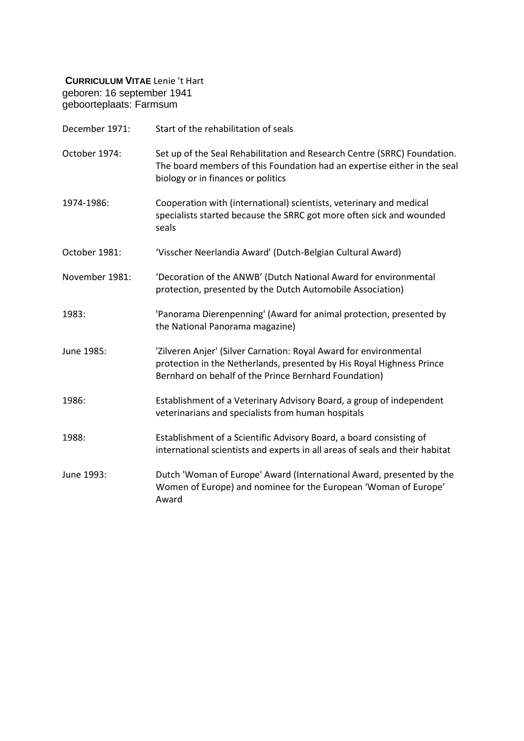**CURRICULUM VITAE** Lenie 't Hart geboren: 16 september 1941 geboorteplaats: Farmsum

| December 1971: | Start of the rehabilitation of seals                                                                                                                                                                |
|----------------|-----------------------------------------------------------------------------------------------------------------------------------------------------------------------------------------------------|
| October 1974:  | Set up of the Seal Rehabilitation and Research Centre (SRRC) Foundation.<br>The board members of this Foundation had an expertise either in the seal<br>biology or in finances or politics          |
| 1974-1986:     | Cooperation with (international) scientists, veterinary and medical<br>specialists started because the SRRC got more often sick and wounded<br>seals                                                |
| October 1981:  | 'Visscher Neerlandia Award' (Dutch-Belgian Cultural Award)                                                                                                                                          |
| November 1981: | 'Decoration of the ANWB' (Dutch National Award for environmental<br>protection, presented by the Dutch Automobile Association)                                                                      |
| 1983:          | 'Panorama Dierenpenning' (Award for animal protection, presented by<br>the National Panorama magazine)                                                                                              |
| June 1985:     | 'Zilveren Anjer' (Silver Carnation: Royal Award for environmental<br>protection in the Netherlands, presented by His Royal Highness Prince<br>Bernhard on behalf of the Prince Bernhard Foundation) |
| 1986:          | Establishment of a Veterinary Advisory Board, a group of independent<br>veterinarians and specialists from human hospitals                                                                          |
| 1988:          | Establishment of a Scientific Advisory Board, a board consisting of<br>international scientists and experts in all areas of seals and their habitat                                                 |
| June 1993:     | Dutch 'Woman of Europe' Award (International Award, presented by the<br>Women of Europe) and nominee for the European 'Woman of Europe'<br>Award                                                    |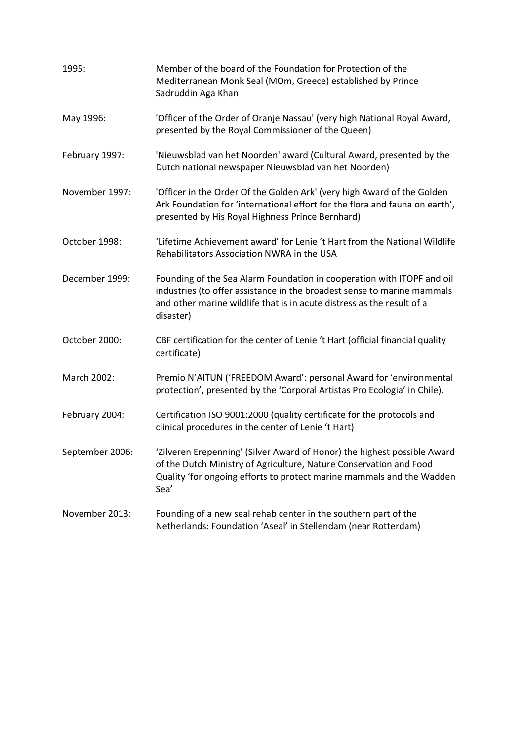| 1995:           | Member of the board of the Foundation for Protection of the<br>Mediterranean Monk Seal (MOm, Greece) established by Prince<br>Sadruddin Aga Khan                                                                                         |
|-----------------|------------------------------------------------------------------------------------------------------------------------------------------------------------------------------------------------------------------------------------------|
| May 1996:       | 'Officer of the Order of Oranje Nassau' (very high National Royal Award,<br>presented by the Royal Commissioner of the Queen)                                                                                                            |
| February 1997:  | 'Nieuwsblad van het Noorden' award (Cultural Award, presented by the<br>Dutch national newspaper Nieuwsblad van het Noorden)                                                                                                             |
| November 1997:  | 'Officer in the Order Of the Golden Ark' (very high Award of the Golden<br>Ark Foundation for 'international effort for the flora and fauna on earth',<br>presented by His Royal Highness Prince Bernhard)                               |
| October 1998:   | 'Lifetime Achievement award' for Lenie 't Hart from the National Wildlife<br>Rehabilitators Association NWRA in the USA                                                                                                                  |
| December 1999:  | Founding of the Sea Alarm Foundation in cooperation with ITOPF and oil<br>industries (to offer assistance in the broadest sense to marine mammals<br>and other marine wildlife that is in acute distress as the result of a<br>disaster) |
| October 2000:   | CBF certification for the center of Lenie 't Hart (official financial quality<br>certificate)                                                                                                                                            |
| March 2002:     | Premio N'AITUN ('FREEDOM Award': personal Award for 'environmental<br>protection', presented by the 'Corporal Artistas Pro Ecologia' in Chile).                                                                                          |
| February 2004:  | Certification ISO 9001:2000 (quality certificate for the protocols and<br>clinical procedures in the center of Lenie 't Hart)                                                                                                            |
| September 2006: | 'Zilveren Erepenning' (Silver Award of Honor) the highest possible Award<br>of the Dutch Ministry of Agriculture, Nature Conservation and Food<br>Quality 'for ongoing efforts to protect marine mammals and the Wadden<br>Sea'          |
| November 2013:  | Founding of a new seal rehab center in the southern part of the<br>Netherlands: Foundation 'Aseal' in Stellendam (near Rotterdam)                                                                                                        |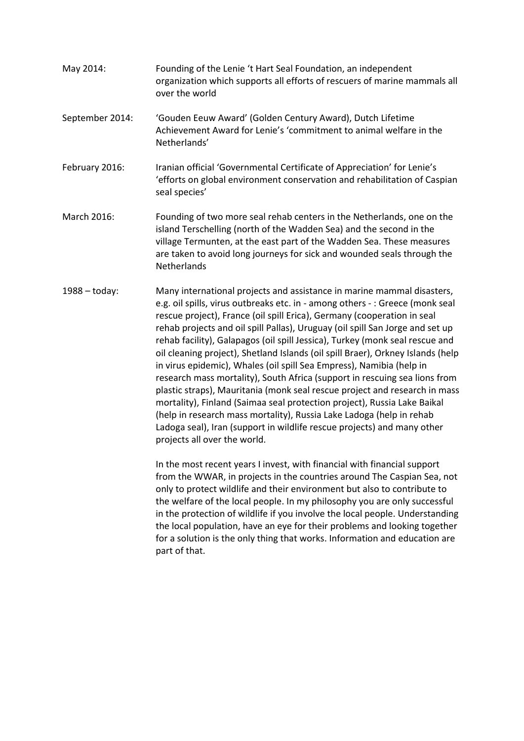- May 2014: Founding of the Lenie 't Hart Seal Foundation, an independent organization which supports all efforts of rescuers of marine mammals all over the world
- September 2014: 'Gouden Eeuw Award' (Golden Century Award), Dutch Lifetime Achievement Award for Lenie's 'commitment to animal welfare in the Netherlands'
- February 2016: Iranian official 'Governmental Certificate of Appreciation' for Lenie's 'efforts on global environment conservation and rehabilitation of Caspian seal species'
- March 2016: Founding of two more seal rehab centers in the Netherlands, one on the island Terschelling (north of the Wadden Sea) and the second in the village Termunten, at the east part of the Wadden Sea. These measures are taken to avoid long journeys for sick and wounded seals through the **Netherlands**
- 1988 today: Many international projects and assistance in marine mammal disasters, e.g. oil spills, virus outbreaks etc. in - among others - : Greece (monk seal rescue project), France (oil spill Erica), Germany (cooperation in seal rehab projects and oil spill Pallas), Uruguay (oil spill San Jorge and set up rehab facility), Galapagos (oil spill Jessica), Turkey (monk seal rescue and oil cleaning project), Shetland Islands (oil spill Braer), Orkney Islands (help in virus epidemic), Whales (oil spill Sea Empress), Namibia (help in research mass mortality), South Africa (support in rescuing sea lions from plastic straps), Mauritania (monk seal rescue project and research in mass mortality), Finland (Saimaa seal protection project), Russia Lake Baikal (help in research mass mortality), Russia Lake Ladoga (help in rehab Ladoga seal), Iran (support in wildlife rescue projects) and many other projects all over the world.

In the most recent years I invest, with financial with financial support from the WWAR, in projects in the countries around The Caspian Sea, not only to protect wildlife and their environment but also to contribute to the welfare of the local people. In my philosophy you are only successful in the protection of wildlife if you involve the local people. Understanding the local population, have an eye for their problems and looking together for a solution is the only thing that works. Information and education are part of that.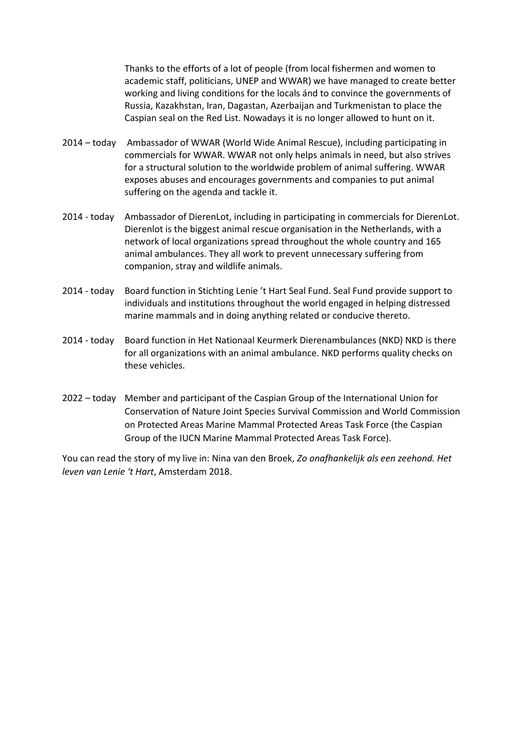Thanks to the efforts of a lot of people (from local fishermen and women to academic staff, politicians, UNEP and WWAR) we have managed to create better working and living conditions for the locals ánd to convince the governments of Russia, Kazakhstan, Iran, Dagastan, Azerbaijan and Turkmenistan to place the Caspian seal on the Red List. Nowadays it is no longer allowed to hunt on it.

- 2014 today Ambassador of WWAR (World Wide Animal Rescue), including participating in commercials for WWAR. WWAR not only helps animals in need, but also strives for a structural solution to the worldwide problem of animal suffering. WWAR exposes abuses and encourages governments and companies to put animal suffering on the agenda and tackle it.
- 2014 today Ambassador of DierenLot, including in participating in commercials for DierenLot. Dierenlot is the biggest animal rescue organisation in the Netherlands, with a network of local organizations spread throughout the whole country and 165 animal ambulances. They all work to prevent unnecessary suffering from companion, stray and wildlife animals.
- 2014 today Board function in Stichting Lenie 't Hart Seal Fund. Seal Fund provide support to individuals and institutions throughout the world engaged in helping distressed marine mammals and in doing anything related or conducive thereto.
- 2014 today Board function in Het Nationaal Keurmerk Dierenambulances (NKD) NKD is there for all organizations with an animal ambulance. NKD performs quality checks on these vehicles.
- 2022 today Member and participant of the Caspian Group of the International Union for Conservation of Nature Joint Species Survival Commission and World Commission on Protected Areas Marine Mammal Protected Areas Task Force (the Caspian Group of the IUCN Marine Mammal Protected Areas Task Force).

You can read the story of my live in: Nina van den Broek, *Zo onafhankelijk als een zeehond. Het leven van Lenie 't Hart*, Amsterdam 2018.